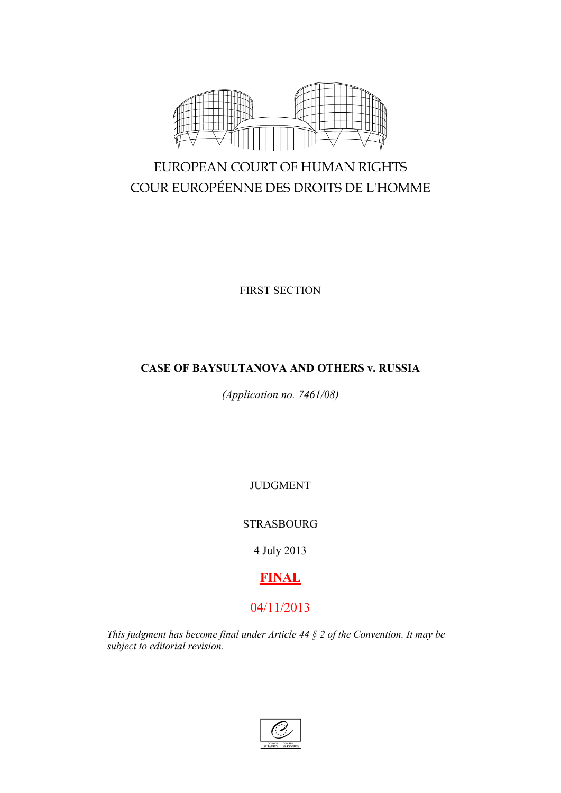

# EUROPEAN COURT OF HUMAN RIGHTS COUR EUROPÉENNE DES DROITS DE L'HOMME

FIRST SECTION

## **CASE OF BAYSULTANOVA AND OTHERS v. RUSSIA**

*(Application no. 7461/08)*

JUDGMENT

STRASBOURG

4 July 2013

# **FINAL**

## 04/11/2013

*This judgment has become final under Article 44 § 2 of the Convention. It may be subject to editorial revision.*

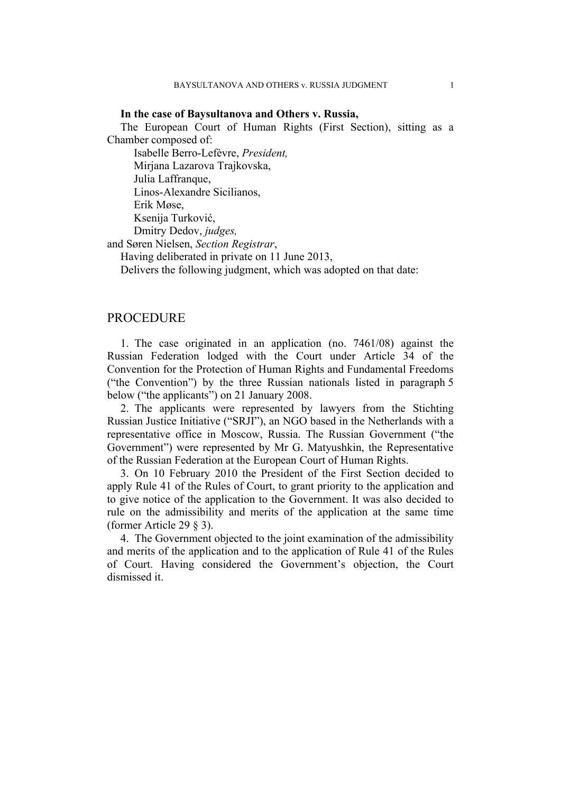#### **In the case of Baysultanova and Others v. Russia,**

The European Court of Human Rights (First Section), sitting as a Chamber composed of:

Isabelle Berro-Lefèvre, *President,* Mirjana Lazarova Trajkovska, Julia Laffranque, Linos-Alexandre Sicilianos, Erik Møse, Ksenija Turković,

Dmitry Dedov, *judges,*

and Søren Nielsen, *Section Registrar*,

Having deliberated in private on 11 June 2013,

Delivers the following judgment, which was adopted on that date:

## **PROCEDURE**

1. The case originated in an application (no. 7461/08) against the Russian Federation lodged with the Court under Article 34 of the Convention for the Protection of Human Rights and Fundamental Freedoms ("the Convention") by the three Russian nationals listed in paragraph 5 below ("the applicants") on 21 January 2008.

2. The applicants were represented by lawyers from the Stichting Russian Justice Initiative ("SRJI"), an NGO based in the Netherlands with a representative office in Moscow, Russia. The Russian Government ("the Government") were represented by Mr G. Matyushkin, the Representative of the Russian Federation at the European Court of Human Rights.

3. On 10 February 2010 the President of the First Section decided to apply Rule 41 of the Rules of Court, to grant priority to the application and to give notice of the application to the Government. It was also decided to rule on the admissibility and merits of the application at the same time (former Article 29 § 3).

4. The Government objected to the joint examination of the admissibility and merits of the application and to the application of Rule 41 of the Rules of Court. Having considered the Government's objection, the Court dismissed it.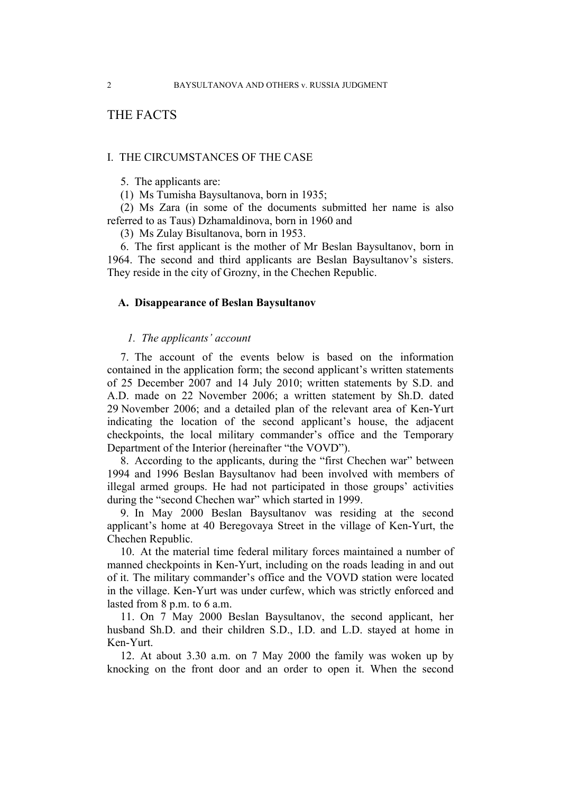## THE FACTS

## I. THE CIRCUMSTANCES OF THE CASE

5. The applicants are:

(1) Ms Tumisha Baysultanova, born in 1935;

(2) Ms Zara (in some of the documents submitted her name is also referred to as Taus) Dzhamaldinova, born in 1960 and

(3) Ms Zulay Bisultanova, born in 1953.

6. The first applicant is the mother of Mr Beslan Baysultanov, born in 1964. The second and third applicants are Beslan Baysultanov's sisters. They reside in the city of Grozny, in the Chechen Republic.

## **A. Disappearance of Beslan Baysultanov**

## *1. The applicants' account*

<span id="page-3-0"></span>7. The account of the events below is based on the information contained in the application form; the second applicant's written statements of 25 December 2007 and 14 July 2010; written statements by S.D. and A.D. made on 22 November 2006; a written statement by Sh.D. dated 29 November 2006; and a detailed plan of the relevant area of Ken-Yurt indicating the location of the second applicant's house, the adjacent checkpoints, the local military commander's office and the Temporary Department of the Interior (hereinafter "the VOVD").

8. According to the applicants, during the "first Chechen war" between 1994 and 1996 Beslan Baysultanov had been involved with members of illegal armed groups. He had not participated in those groups' activities during the "second Chechen war" which started in 1999.

9. In May 2000 Beslan Baysultanov was residing at the second applicant's home at 40 Beregovaya Street in the village of Ken-Yurt, the Chechen Republic.

10. At the material time federal military forces maintained a number of manned checkpoints in Ken-Yurt, including on the roads leading in and out of it. The military commander's office and the VOVD station were located in the village. Ken-Yurt was under curfew, which was strictly enforced and lasted from 8 p.m. to 6 a.m.

11. On 7 May 2000 Beslan Baysultanov, the second applicant, her husband Sh.D. and their children S.D., I.D. and L.D. stayed at home in Ken-Yurt.

12. At about 3.30 a.m. on 7 May 2000 the family was woken up by knocking on the front door and an order to open it. When the second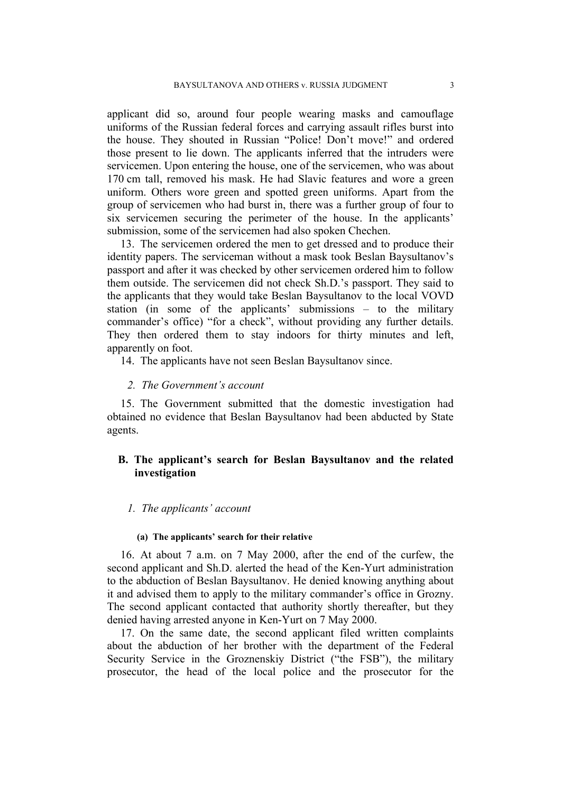applicant did so, around four people wearing masks and camouflage uniforms of the Russian federal forces and carrying assault rifles burst into the house. They shouted in Russian "Police! Don't move!" and ordered those present to lie down. The applicants inferred that the intruders were servicemen. Upon entering the house, one of the servicemen, who was about 170 cm tall, removed his mask. He had Slavic features and wore a green uniform. Others wore green and spotted green uniforms. Apart from the group of servicemen who had burst in, there was a further group of four to six servicemen securing the perimeter of the house. In the applicants' submission, some of the servicemen had also spoken Chechen.

13. The servicemen ordered the men to get dressed and to produce their identity papers. The serviceman without a mask took Beslan Baysultanov's passport and after it was checked by other servicemen ordered him to follow them outside. The servicemen did not check Sh.D.'s passport. They said to the applicants that they would take Beslan Baysultanov to the local VOVD station (in some of the applicants' submissions – to the military commander's office) "for a check", without providing any further details. They then ordered them to stay indoors for thirty minutes and left, apparently on foot.

<span id="page-4-0"></span>14. The applicants have not seen Beslan Baysultanov since.

## *2. The Government's account*

15. The Government submitted that the domestic investigation had obtained no evidence that Beslan Baysultanov had been abducted by State agents.

## **B. The applicant's search for Beslan Baysultanov and the related investigation**

#### *1. The applicants' account*

#### **(a) The applicants' search for their relative**

<span id="page-4-1"></span>16. At about 7 a.m. on 7 May 2000, after the end of the curfew, the second applicant and Sh.D. alerted the head of the Ken-Yurt administration to the abduction of Beslan Baysultanov. He denied knowing anything about it and advised them to apply to the military commander's office in Grozny. The second applicant contacted that authority shortly thereafter, but they denied having arrested anyone in Ken-Yurt on 7 May 2000.

<span id="page-4-2"></span>17. On the same date, the second applicant filed written complaints about the abduction of her brother with the department of the Federal Security Service in the Groznenskiy District ("the FSB"), the military prosecutor, the head of the local police and the prosecutor for the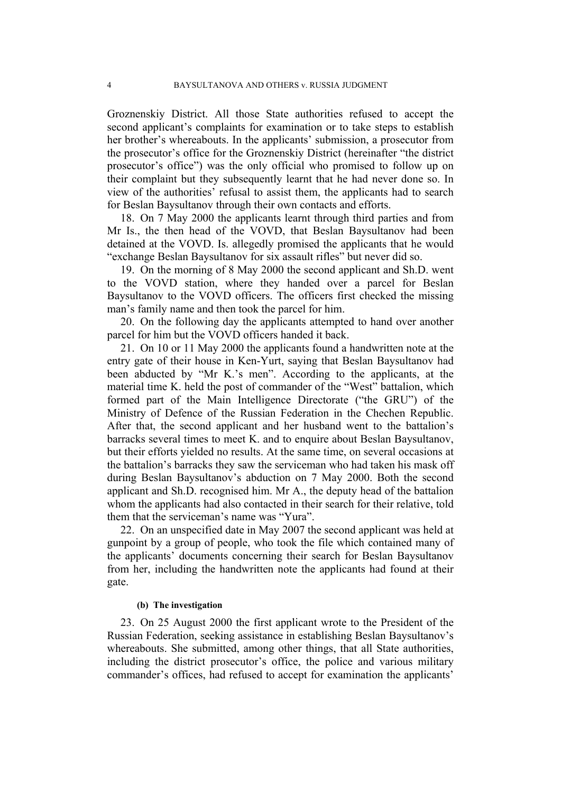Groznenskiy District. All those State authorities refused to accept the second applicant's complaints for examination or to take steps to establish her brother's whereabouts. In the applicants' submission, a prosecutor from the prosecutor's office for the Groznenskiy District (hereinafter "the district prosecutor's office") was the only official who promised to follow up on their complaint but they subsequently learnt that he had never done so. In view of the authorities' refusal to assist them, the applicants had to search for Beslan Baysultanov through their own contacts and efforts.

18. On 7 May 2000 the applicants learnt through third parties and from Mr Is., the then head of the VOVD, that Beslan Baysultanov had been detained at the VOVD. Is. allegedly promised the applicants that he would "exchange Beslan Baysultanov for six assault rifles" but never did so.

19. On the morning of 8 May 2000 the second applicant and Sh.D. went to the VOVD station, where they handed over a parcel for Beslan Baysultanov to the VOVD officers. The officers first checked the missing man's family name and then took the parcel for him.

20. On the following day the applicants attempted to hand over another parcel for him but the VOVD officers handed it back.

21. On 10 or 11 May 2000 the applicants found a handwritten note at the entry gate of their house in Ken-Yurt, saying that Beslan Baysultanov had been abducted by "Mr K.'s men". According to the applicants, at the material time K. held the post of commander of the "West" battalion, which formed part of the Main Intelligence Directorate ("the GRU") of the Ministry of Defence of the Russian Federation in the Chechen Republic. After that, the second applicant and her husband went to the battalion's barracks several times to meet K. and to enquire about Beslan Baysultanov, but their efforts yielded no results. At the same time, on several occasions at the battalion's barracks they saw the serviceman who had taken his mask off during Beslan Baysultanov's abduction on 7 May 2000. Both the second applicant and Sh.D. recognised him. Mr A., the deputy head of the battalion whom the applicants had also contacted in their search for their relative, told them that the serviceman's name was "Yura".

<span id="page-5-0"></span>22. On an unspecified date in May 2007 the second applicant was held at gunpoint by a group of people, who took the file which contained many of the applicants' documents concerning their search for Beslan Baysultanov from her, including the handwritten note the applicants had found at their gate.

#### **(b) The investigation**

<span id="page-5-1"></span>23. On 25 August 2000 the first applicant wrote to the President of the Russian Federation, seeking assistance in establishing Beslan Baysultanov's whereabouts. She submitted, among other things, that all State authorities, including the district prosecutor's office, the police and various military commander's offices, had refused to accept for examination the applicants'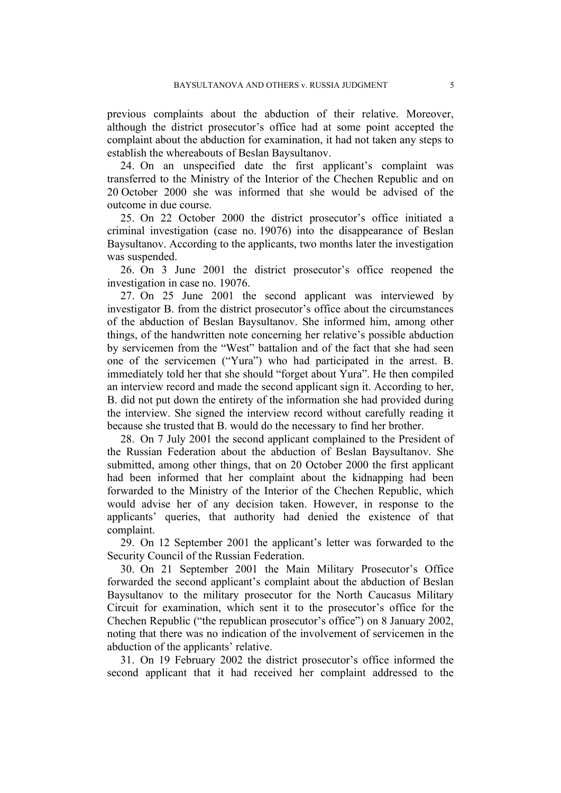previous complaints about the abduction of their relative. Moreover, although the district prosecutor's office had at some point accepted the complaint about the abduction for examination, it had not taken any steps to establish the whereabouts of Beslan Baysultanov.

24. On an unspecified date the first applicant's complaint was transferred to the Ministry of the Interior of the Chechen Republic and on 20 October 2000 she was informed that she would be advised of the outcome in due course.

25. On 22 October 2000 the district prosecutor's office initiated a criminal investigation (case no. 19076) into the disappearance of Beslan Baysultanov. According to the applicants, two months later the investigation was suspended.

26. On 3 June 2001 the district prosecutor's office reopened the investigation in case no. 19076.

<span id="page-6-0"></span>27. On 25 June 2001 the second applicant was interviewed by investigator B. from the district prosecutor's office about the circumstances of the abduction of Beslan Baysultanov. She informed him, among other things, of the handwritten note concerning her relative's possible abduction by servicemen from the "West" battalion and of the fact that she had seen one of the servicemen ("Yura") who had participated in the arrest. B. immediately told her that she should "forget about Yura". He then compiled an interview record and made the second applicant sign it. According to her, B. did not put down the entirety of the information she had provided during the interview. She signed the interview record without carefully reading it because she trusted that B. would do the necessary to find her brother.

<span id="page-6-1"></span>28. On 7 July 2001 the second applicant complained to the President of the Russian Federation about the abduction of Beslan Baysultanov. She submitted, among other things, that on 20 October 2000 the first applicant had been informed that her complaint about the kidnapping had been forwarded to the Ministry of the Interior of the Chechen Republic, which would advise her of any decision taken. However, in response to the applicants' queries, that authority had denied the existence of that complaint.

29. On 12 September 2001 the applicant's letter was forwarded to the Security Council of the Russian Federation.

30. On 21 September 2001 the Main Military Prosecutor's Office forwarded the second applicant's complaint about the abduction of Beslan Baysultanov to the military prosecutor for the North Caucasus Military Circuit for examination, which sent it to the prosecutor's office for the Chechen Republic ("the republican prosecutor's office") on 8 January 2002, noting that there was no indication of the involvement of servicemen in the abduction of the applicants' relative.

31. On 19 February 2002 the district prosecutor's office informed the second applicant that it had received her complaint addressed to the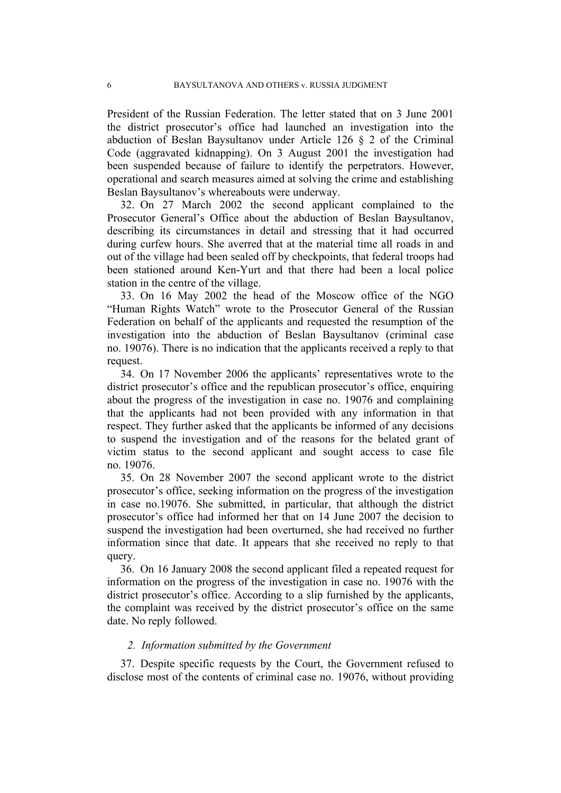President of the Russian Federation. The letter stated that on 3 June 2001 the district prosecutor's office had launched an investigation into the abduction of Beslan Baysultanov under Article 126 § 2 of the Criminal Code (aggravated kidnapping). On 3 August 2001 the investigation had been suspended because of failure to identify the perpetrators. However, operational and search measures aimed at solving the crime and establishing Beslan Baysultanov's whereabouts were underway.

32. On 27 March 2002 the second applicant complained to the Prosecutor General's Office about the abduction of Beslan Baysultanov, describing its circumstances in detail and stressing that it had occurred during curfew hours. She averred that at the material time all roads in and out of the village had been sealed off by checkpoints, that federal troops had been stationed around Ken-Yurt and that there had been a local police station in the centre of the village.

<span id="page-7-1"></span>33. On 16 May 2002 the head of the Moscow office of the NGO "Human Rights Watch" wrote to the Prosecutor General of the Russian Federation on behalf of the applicants and requested the resumption of the investigation into the abduction of Beslan Baysultanov (criminal case no. 19076). There is no indication that the applicants received a reply to that request.

34. On 17 November 2006 the applicants' representatives wrote to the district prosecutor's office and the republican prosecutor's office, enquiring about the progress of the investigation in case no. 19076 and complaining that the applicants had not been provided with any information in that respect. They further asked that the applicants be informed of any decisions to suspend the investigation and of the reasons for the belated grant of victim status to the second applicant and sought access to case file no. 19076.

35. On 28 November 2007 the second applicant wrote to the district prosecutor's office, seeking information on the progress of the investigation in case no.19076. She submitted, in particular, that although the district prosecutor's office had informed her that on 14 June 2007 the decision to suspend the investigation had been overturned, she had received no further information since that date. It appears that she received no reply to that query.

<span id="page-7-2"></span>36. On 16 January 2008 the second applicant filed a repeated request for information on the progress of the investigation in case no. 19076 with the district prosecutor's office. According to a slip furnished by the applicants, the complaint was received by the district prosecutor's office on the same date. No reply followed.

#### *2. Information submitted by the Government*

<span id="page-7-0"></span>37. Despite specific requests by the Court, the Government refused to disclose most of the contents of criminal case no. 19076, without providing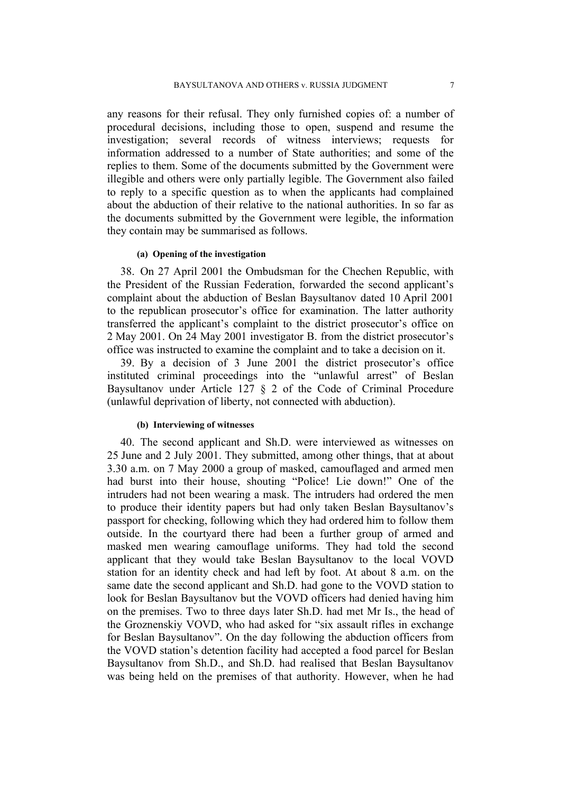any reasons for their refusal. They only furnished copies of: a number of procedural decisions, including those to open, suspend and resume the investigation; several records of witness interviews; requests for information addressed to a number of State authorities; and some of the replies to them. Some of the documents submitted by the Government were illegible and others were only partially legible. The Government also failed to reply to a specific question as to when the applicants had complained about the abduction of their relative to the national authorities. In so far as the documents submitted by the Government were legible, the information they contain may be summarised as follows.

#### **(a) Opening of the investigation**

38. On 27 April 2001 the Ombudsman for the Chechen Republic, with the President of the Russian Federation, forwarded the second applicant's complaint about the abduction of Beslan Baysultanov dated 10 April 2001 to the republican prosecutor's office for examination. The latter authority transferred the applicant's complaint to the district prosecutor's office on 2 May 2001. On 24 May 2001 investigator B. from the district prosecutor's office was instructed to examine the complaint and to take a decision on it.

39. By a decision of 3 June 2001 the district prosecutor's office instituted criminal proceedings into the "unlawful arrest" of Beslan Baysultanov under Article 127 § 2 of the Code of Criminal Procedure (unlawful deprivation of liberty, not connected with abduction).

#### **(b) Interviewing of witnesses**

<span id="page-8-0"></span>40. The second applicant and Sh.D. were interviewed as witnesses on 25 June and 2 July 2001. They submitted, among other things, that at about 3.30 a.m. on 7 May 2000 a group of masked, camouflaged and armed men had burst into their house, shouting "Police! Lie down!" One of the intruders had not been wearing a mask. The intruders had ordered the men to produce their identity papers but had only taken Beslan Baysultanov's passport for checking, following which they had ordered him to follow them outside. In the courtyard there had been a further group of armed and masked men wearing camouflage uniforms. They had told the second applicant that they would take Beslan Baysultanov to the local VOVD station for an identity check and had left by foot. At about 8 a.m. on the same date the second applicant and Sh.D. had gone to the VOVD station to look for Beslan Baysultanov but the VOVD officers had denied having him on the premises. Two to three days later Sh.D. had met Mr Is., the head of the Groznenskiy VOVD, who had asked for "six assault rifles in exchange for Beslan Baysultanov". On the day following the abduction officers from the VOVD station's detention facility had accepted a food parcel for Beslan Baysultanov from Sh.D., and Sh.D. had realised that Beslan Baysultanov was being held on the premises of that authority. However, when he had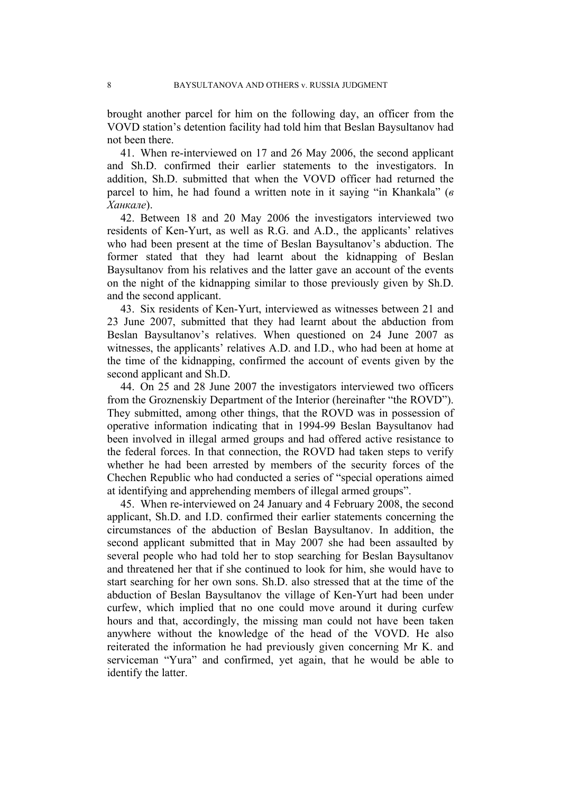brought another parcel for him on the following day, an officer from the VOVD station's detention facility had told him that Beslan Baysultanov had not been there.

<span id="page-9-0"></span>41. When re-interviewed on 17 and 26 May 2006, the second applicant and Sh.D. confirmed their earlier statements to the investigators. In addition, Sh.D. submitted that when the VOVD officer had returned the parcel to him, he had found a written note in it saying "in Khankala" (*в Ханкале*).

<span id="page-9-2"></span>42. Between 18 and 20 May 2006 the investigators interviewed two residents of Ken-Yurt, as well as R.G. and A.D., the applicants' relatives who had been present at the time of Beslan Baysultanov's abduction. The former stated that they had learnt about the kidnapping of Beslan Baysultanov from his relatives and the latter gave an account of the events on the night of the kidnapping similar to those previously given by Sh.D. and the second applicant.

<span id="page-9-3"></span>43. Six residents of Ken-Yurt, interviewed as witnesses between 21 and 23 June 2007, submitted that they had learnt about the abduction from Beslan Baysultanov's relatives. When questioned on 24 June 2007 as witnesses, the applicants' relatives A.D. and I.D., who had been at home at the time of the kidnapping, confirmed the account of events given by the second applicant and Sh.D.

<span id="page-9-4"></span>44. On 25 and 28 June 2007 the investigators interviewed two officers from the Groznenskiy Department of the Interior (hereinafter "the ROVD"). They submitted, among other things, that the ROVD was in possession of operative information indicating that in 1994-99 Beslan Baysultanov had been involved in illegal armed groups and had offered active resistance to the federal forces. In that connection, the ROVD had taken steps to verify whether he had been arrested by members of the security forces of the Chechen Republic who had conducted a series of "special operations aimed at identifying and apprehending members of illegal armed groups".

<span id="page-9-1"></span>45. When re-interviewed on 24 January and 4 February 2008, the second applicant, Sh.D. and I.D. confirmed their earlier statements concerning the circumstances of the abduction of Beslan Baysultanov. In addition, the second applicant submitted that in May 2007 she had been assaulted by several people who had told her to stop searching for Beslan Baysultanov and threatened her that if she continued to look for him, she would have to start searching for her own sons. Sh.D. also stressed that at the time of the abduction of Beslan Baysultanov the village of Ken-Yurt had been under curfew, which implied that no one could move around it during curfew hours and that, accordingly, the missing man could not have been taken anywhere without the knowledge of the head of the VOVD. He also reiterated the information he had previously given concerning Mr K. and serviceman "Yura" and confirmed, yet again, that he would be able to identify the latter.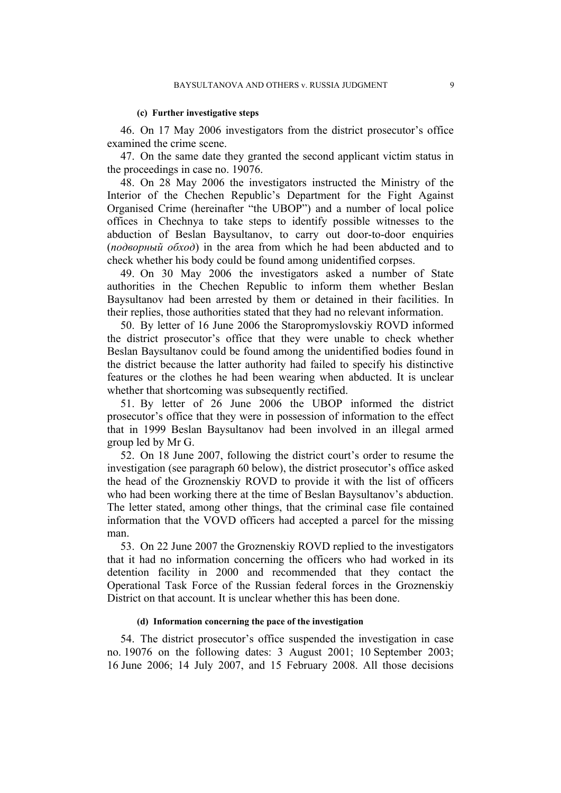#### **(c) Further investigative steps**

<span id="page-10-0"></span>46. On 17 May 2006 investigators from the district prosecutor's office examined the crime scene.

47. On the same date they granted the second applicant victim status in the proceedings in case no. 19076.

<span id="page-10-2"></span>48. On 28 May 2006 the investigators instructed the Ministry of the Interior of the Chechen Republic's Department for the Fight Against Organised Crime (hereinafter "the UBOP") and a number of local police offices in Chechnya to take steps to identify possible witnesses to the abduction of Beslan Baysultanov, to carry out door-to-door enquiries (*подворный обход*) in the area from which he had been abducted and to check whether his body could be found among unidentified corpses.

49. On 30 May 2006 the investigators asked a number of State authorities in the Chechen Republic to inform them whether Beslan Baysultanov had been arrested by them or detained in their facilities. In their replies, those authorities stated that they had no relevant information.

<span id="page-10-3"></span>50. By letter of 16 June 2006 the Staropromyslovskiy ROVD informed the district prosecutor's office that they were unable to check whether Beslan Baysultanov could be found among the unidentified bodies found in the district because the latter authority had failed to specify his distinctive features or the clothes he had been wearing when abducted. It is unclear whether that shortcoming was subsequently rectified.

51. By letter of 26 June 2006 the UBOP informed the district prosecutor's office that they were in possession of information to the effect that in 1999 Beslan Baysultanov had been involved in an illegal armed group led by Mr G.

<span id="page-10-1"></span>52. On 18 June 2007, following the district court's order to resume the investigation (see paragraph [60](#page-11-0) below), the district prosecutor's office asked the head of the Groznenskiy ROVD to provide it with the list of officers who had been working there at the time of Beslan Baysultanov's abduction. The letter stated, among other things, that the criminal case file contained information that the VOVD officers had accepted a parcel for the missing man.

53. On 22 June 2007 the Groznenskiy ROVD replied to the investigators that it had no information concerning the officers who had worked in its detention facility in 2000 and recommended that they contact the Operational Task Force of the Russian federal forces in the Groznenskiy District on that account. It is unclear whether this has been done.

#### **(d) Information concerning the pace of the investigation**

<span id="page-10-4"></span>54. The district prosecutor's office suspended the investigation in case no. 19076 on the following dates: 3 August 2001; 10 September 2003; 16 June 2006; 14 July 2007, and 15 February 2008. All those decisions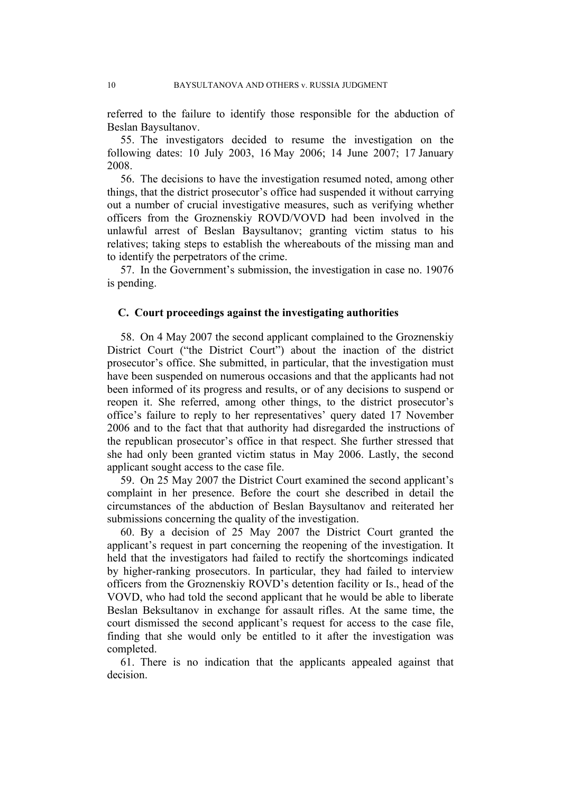referred to the failure to identify those responsible for the abduction of Beslan Baysultanov.

55. The investigators decided to resume the investigation on the following dates: 10 July 2003, 16 May 2006; 14 June 2007; 17 January 2008.

<span id="page-11-2"></span>56. The decisions to have the investigation resumed noted, among other things, that the district prosecutor's office had suspended it without carrying out a number of crucial investigative measures, such as verifying whether officers from the Groznenskiy ROVD/VOVD had been involved in the unlawful arrest of Beslan Baysultanov; granting victim status to his relatives; taking steps to establish the whereabouts of the missing man and to identify the perpetrators of the crime.

<span id="page-11-1"></span>57. In the Government's submission, the investigation in case no. 19076 is pending.

## **C. Court proceedings against the investigating authorities**

<span id="page-11-3"></span>58. On 4 May 2007 the second applicant complained to the Groznenskiy District Court ("the District Court") about the inaction of the district prosecutor's office. She submitted, in particular, that the investigation must have been suspended on numerous occasions and that the applicants had not been informed of its progress and results, or of any decisions to suspend or reopen it. She referred, among other things, to the district prosecutor's office's failure to reply to her representatives' query dated 17 November 2006 and to the fact that that authority had disregarded the instructions of the republican prosecutor's office in that respect. She further stressed that she had only been granted victim status in May 2006. Lastly, the second applicant sought access to the case file.

59. On 25 May 2007 the District Court examined the second applicant's complaint in her presence. Before the court she described in detail the circumstances of the abduction of Beslan Baysultanov and reiterated her submissions concerning the quality of the investigation.

<span id="page-11-0"></span>60. By a decision of 25 May 2007 the District Court granted the applicant's request in part concerning the reopening of the investigation. It held that the investigators had failed to rectify the shortcomings indicated by higher-ranking prosecutors. In particular, they had failed to interview officers from the Groznenskiy ROVD's detention facility or Is., head of the VOVD, who had told the second applicant that he would be able to liberate Beslan Beksultanov in exchange for assault rifles. At the same time, the court dismissed the second applicant's request for access to the case file, finding that she would only be entitled to it after the investigation was completed.

61. There is no indication that the applicants appealed against that decision.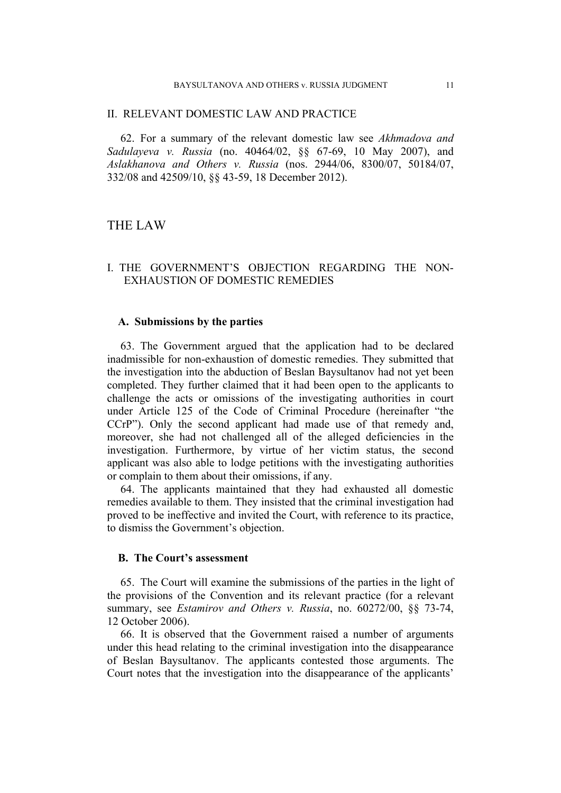#### II. RELEVANT DOMESTIC LAW AND PRACTICE

62. For a summary of the relevant domestic law see *Akhmadova and Sadulayeva v. Russia* (no. 40464/02, §§ 67-69, 10 May 2007), and *Aslakhanova and Others v. Russia* (nos. 2944/06, 8300/07, 50184/07, 332/08 and 42509/10, §§ 43-59, 18 December 2012).

## THE LAW

## I. THE GOVERNMENT'S OBJECTION REGARDING THE NON-EXHAUSTION OF DOMESTIC REMEDIES

#### **A. Submissions by the parties**

63. The Government argued that the application had to be declared inadmissible for non-exhaustion of domestic remedies. They submitted that the investigation into the abduction of Beslan Baysultanov had not yet been completed. They further claimed that it had been open to the applicants to challenge the acts or omissions of the investigating authorities in court under Article 125 of the Code of Criminal Procedure (hereinafter "the CCrP"). Only the second applicant had made use of that remedy and, moreover, she had not challenged all of the alleged deficiencies in the investigation. Furthermore, by virtue of her victim status, the second applicant was also able to lodge petitions with the investigating authorities or complain to them about their omissions, if any.

64. The applicants maintained that they had exhausted all domestic remedies available to them. They insisted that the criminal investigation had proved to be ineffective and invited the Court, with reference to its practice, to dismiss the Government's objection.

## **B. The Court's assessment**

65. The Court will examine the submissions of the parties in the light of the provisions of the Convention and its relevant practice (for a relevant summary, see *Estamirov and Others v. Russia*, no. 60272/00, §§ 73-74, 12 October 2006).

66. It is observed that the Government raised a number of arguments under this head relating to the criminal investigation into the disappearance of Beslan Baysultanov. The applicants contested those arguments. The Court notes that the investigation into the disappearance of the applicants'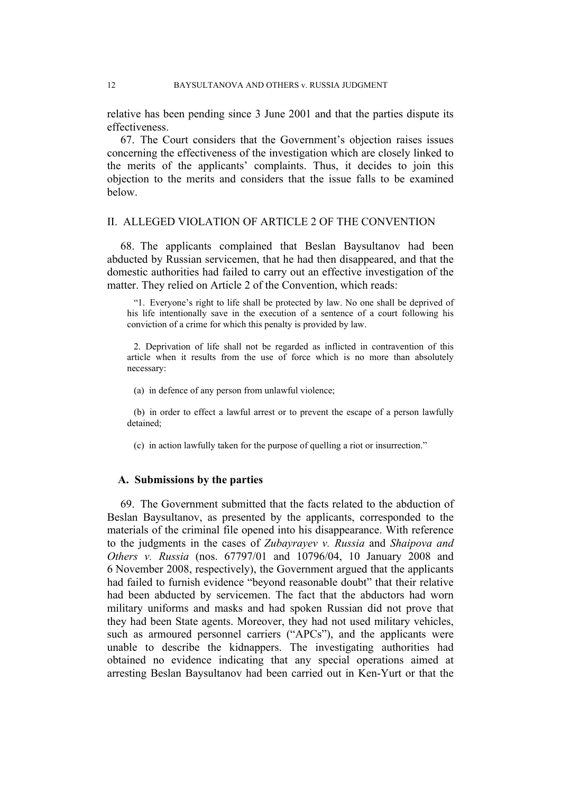relative has been pending since 3 June 2001 and that the parties dispute its effectiveness.

<span id="page-13-0"></span>67. The Court considers that the Government's objection raises issues concerning the effectiveness of the investigation which are closely linked to the merits of the applicants' complaints. Thus, it decides to join this objection to the merits and considers that the issue falls to be examined below.

## II. ALLEGED VIOLATION OF ARTICLE 2 OF THE CONVENTION

68. The applicants complained that Beslan Baysultanov had been abducted by Russian servicemen, that he had then disappeared, and that the domestic authorities had failed to carry out an effective investigation of the matter. They relied on Article 2 of the Convention, which reads:

"1. Everyone's right to life shall be protected by law. No one shall be deprived of his life intentionally save in the execution of a sentence of a court following his conviction of a crime for which this penalty is provided by law.

2. Deprivation of life shall not be regarded as inflicted in contravention of this article when it results from the use of force which is no more than absolutely necessary:

(a) in defence of any person from unlawful violence;

(b) in order to effect a lawful arrest or to prevent the escape of a person lawfully detained;

(c) in action lawfully taken for the purpose of quelling a riot or insurrection."

## **A. Submissions by the parties**

69. The Government submitted that the facts related to the abduction of Beslan Baysultanov, as presented by the applicants, corresponded to the materials of the criminal file opened into his disappearance. With reference to the judgments in the cases of *Zubayrayev v. Russia* and *Shaipova and Others v. Russia* (nos. 67797/01 and 10796/04, 10 January 2008 and 6 November 2008, respectively), the Government argued that the applicants had failed to furnish evidence "beyond reasonable doubt" that their relative had been abducted by servicemen. The fact that the abductors had worn military uniforms and masks and had spoken Russian did not prove that they had been State agents. Moreover, they had not used military vehicles, such as armoured personnel carriers ("APCs"), and the applicants were unable to describe the kidnappers. The investigating authorities had obtained no evidence indicating that any special operations aimed at arresting Beslan Baysultanov had been carried out in Ken-Yurt or that the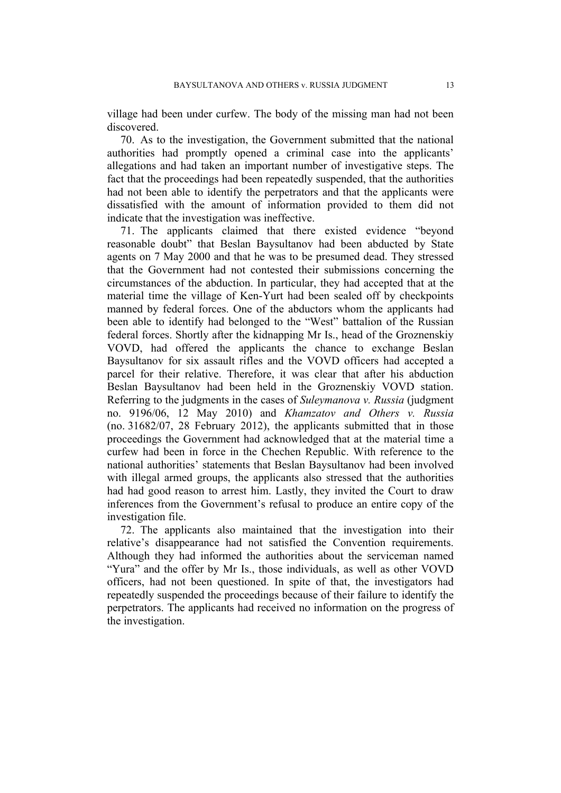village had been under curfew. The body of the missing man had not been discovered.

70. As to the investigation, the Government submitted that the national authorities had promptly opened a criminal case into the applicants' allegations and had taken an important number of investigative steps. The fact that the proceedings had been repeatedly suspended, that the authorities had not been able to identify the perpetrators and that the applicants were dissatisfied with the amount of information provided to them did not indicate that the investigation was ineffective.

71. The applicants claimed that there existed evidence "beyond reasonable doubt" that Beslan Baysultanov had been abducted by State agents on 7 May 2000 and that he was to be presumed dead. They stressed that the Government had not contested their submissions concerning the circumstances of the abduction. In particular, they had accepted that at the material time the village of Ken-Yurt had been sealed off by checkpoints manned by federal forces. One of the abductors whom the applicants had been able to identify had belonged to the "West" battalion of the Russian federal forces. Shortly after the kidnapping Mr Is., head of the Groznenskiy VOVD, had offered the applicants the chance to exchange Beslan Baysultanov for six assault rifles and the VOVD officers had accepted a parcel for their relative. Therefore, it was clear that after his abduction Beslan Baysultanov had been held in the Groznenskiy VOVD station. Referring to the judgments in the cases of *Suleymanova v. Russia* (judgment no. 9196/06, 12 May 2010) and *Khamzatov and Others v. Russia* (no. 31682/07, 28 February 2012), the applicants submitted that in those proceedings the Government had acknowledged that at the material time a curfew had been in force in the Chechen Republic. With reference to the national authorities' statements that Beslan Baysultanov had been involved with illegal armed groups, the applicants also stressed that the authorities had had good reason to arrest him. Lastly, they invited the Court to draw inferences from the Government's refusal to produce an entire copy of the investigation file.

72. The applicants also maintained that the investigation into their relative's disappearance had not satisfied the Convention requirements. Although they had informed the authorities about the serviceman named "Yura" and the offer by Mr Is., those individuals, as well as other VOVD officers, had not been questioned. In spite of that, the investigators had repeatedly suspended the proceedings because of their failure to identify the perpetrators. The applicants had received no information on the progress of the investigation.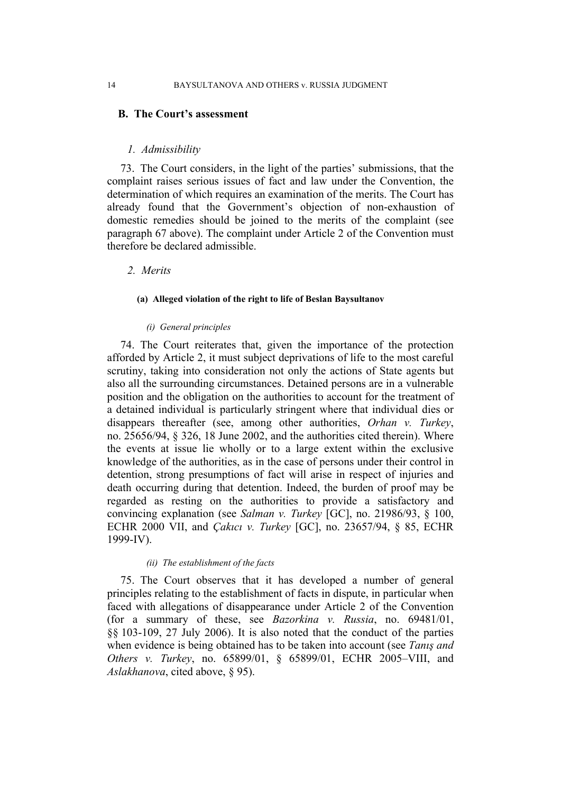#### **B. The Court's assessment**

#### *1. Admissibility*

73. The Court considers, in the light of the parties' submissions, that the complaint raises serious issues of fact and law under the Convention, the determination of which requires an examination of the merits. The Court has already found that the Government's objection of non-exhaustion of domestic remedies should be joined to the merits of the complaint (see paragraph [67](#page-13-0) above). The complaint under Article 2 of the Convention must therefore be declared admissible.

## *2. Merits*

#### **(a) Alleged violation of the right to life of Beslan Baysultanov**

#### *(i) General principles*

74. The Court reiterates that, given the importance of the protection afforded by Article 2, it must subject deprivations of life to the most careful scrutiny, taking into consideration not only the actions of State agents but also all the surrounding circumstances. Detained persons are in a vulnerable position and the obligation on the authorities to account for the treatment of a detained individual is particularly stringent where that individual dies or disappears thereafter (see, among other authorities, *Orhan v. Turkey*, no. 25656/94, § 326, 18 June 2002, and the authorities cited therein). Where the events at issue lie wholly or to a large extent within the exclusive knowledge of the authorities, as in the case of persons under their control in detention, strong presumptions of fact will arise in respect of injuries and death occurring during that detention. Indeed, the burden of proof may be regarded as resting on the authorities to provide a satisfactory and convincing explanation (see *Salman v. Turkey* [GC], no. 21986/93, § 100, ECHR 2000 VII, and *Çakıcı v. Turkey* [GC], no. 23657/94, § 85, ECHR 1999-IV).

#### *(ii) The establishment of the facts*

<span id="page-15-0"></span>75. The Court observes that it has developed a number of general principles relating to the establishment of facts in dispute, in particular when faced with allegations of disappearance under Article 2 of the Convention (for a summary of these, see *Bazorkina v. Russia*, no. 69481/01, §§ 103-109, 27 July 2006). It is also noted that the conduct of the parties when evidence is being obtained has to be taken into account (see *Tanış and Others v. Turkey*, no. 65899/01, § 65899/01, ECHR 2005–VIII, and *Aslakhanova*, cited above, § 95).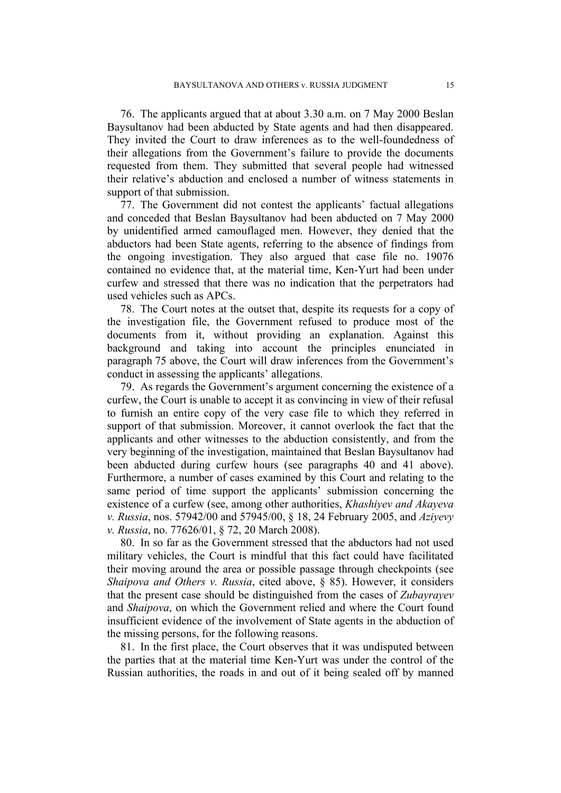76. The applicants argued that at about 3.30 a.m. on 7 May 2000 Beslan Baysultanov had been abducted by State agents and had then disappeared. They invited the Court to draw inferences as to the well-foundedness of their allegations from the Government's failure to provide the documents requested from them. They submitted that several people had witnessed their relative's abduction and enclosed a number of witness statements in support of that submission.

77. The Government did not contest the applicants' factual allegations and conceded that Beslan Baysultanov had been abducted on 7 May 2000 by unidentified armed camouflaged men. However, they denied that the abductors had been State agents, referring to the absence of findings from the ongoing investigation. They also argued that case file no. 19076 contained no evidence that, at the material time, Ken-Yurt had been under curfew and stressed that there was no indication that the perpetrators had used vehicles such as APCs.

78. The Court notes at the outset that, despite its requests for a copy of the investigation file, the Government refused to produce most of the documents from it, without providing an explanation. Against this background and taking into account the principles enunciated in paragraph [75](#page-15-0) above, the Court will draw inferences from the Government's conduct in assessing the applicants' allegations.

79. As regards the Government's argument concerning the existence of a curfew, the Court is unable to accept it as convincing in view of their refusal to furnish an entire copy of the very case file to which they referred in support of that submission. Moreover, it cannot overlook the fact that the applicants and other witnesses to the abduction consistently, and from the very beginning of the investigation, maintained that Beslan Baysultanov had been abducted during curfew hours (see paragraphs [40](#page-8-0) and [41](#page-9-0) above). Furthermore, a number of cases examined by this Court and relating to the same period of time support the applicants' submission concerning the existence of a curfew (see, among other authorities, *Khashiyev and Akayeva v. Russia*, nos. 57942/00 and 57945/00, § 18, 24 February 2005, and *Aziyevy v. Russia*, no. 77626/01, § 72, 20 March 2008).

80. In so far as the Government stressed that the abductors had not used military vehicles, the Court is mindful that this fact could have facilitated their moving around the area or possible passage through checkpoints (see *Shaipova and Others v. Russia*, cited above, § 85). However, it considers that the present case should be distinguished from the cases of *Zubayrayev* and *Shaipova*, on which the Government relied and where the Court found insufficient evidence of the involvement of State agents in the abduction of the missing persons, for the following reasons.

81. In the first place, the Court observes that it was undisputed between the parties that at the material time Ken-Yurt was under the control of the Russian authorities, the roads in and out of it being sealed off by manned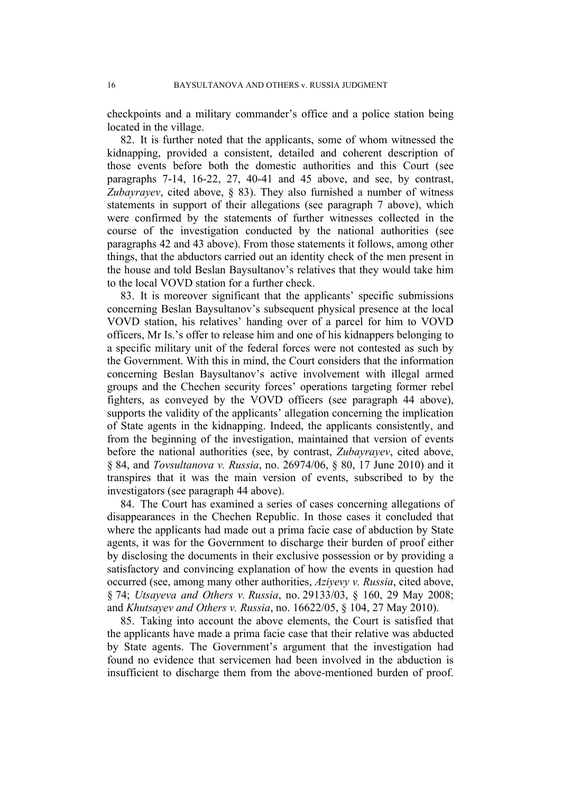checkpoints and a military commander's office and a police station being located in the village.

82. It is further noted that the applicants, some of whom witnessed the kidnapping, provided a consistent, detailed and coherent description of those events before both the domestic authorities and this Court (see paragraphs [7](#page-3-0)[-14](#page-4-0), [16](#page-4-1)[-22](#page-5-0), [27,](#page-6-0) [40-](#page-8-0)[41](#page-9-0) and [45](#page-9-1) above, and see, by contrast, *Zubayrayev*, cited above, § 83). They also furnished a number of witness statements in support of their allegations (see paragraph [7](#page-3-0) above), which were confirmed by the statements of further witnesses collected in the course of the investigation conducted by the national authorities (see paragraphs [42](#page-9-2) and [43](#page-9-3) above). From those statements it follows, among other things, that the abductors carried out an identity check of the men present in the house and told Beslan Baysultanov's relatives that they would take him to the local VOVD station for a further check.

83. It is moreover significant that the applicants' specific submissions concerning Beslan Baysultanov's subsequent physical presence at the local VOVD station, his relatives' handing over of a parcel for him to VOVD officers, Mr Is.'s offer to release him and one of his kidnappers belonging to a specific military unit of the federal forces were not contested as such by the Government. With this in mind, the Court considers that the information concerning Beslan Baysultanov's active involvement with illegal armed groups and the Chechen security forces' operations targeting former rebel fighters, as conveyed by the VOVD officers (see paragraph [44](#page-9-4) above), supports the validity of the applicants' allegation concerning the implication of State agents in the kidnapping. Indeed, the applicants consistently, and from the beginning of the investigation, maintained that version of events before the national authorities (see, by contrast, *Zubayrayev*, cited above, § 84, and *Tovsultanova v. Russia*, no. 26974/06, § 80, 17 June 2010) and it transpires that it was the main version of events, subscribed to by the investigators (see paragraph [44](#page-9-4) above).

84. The Court has examined a series of cases concerning allegations of disappearances in the Chechen Republic. In those cases it concluded that where the applicants had made out a prima facie case of abduction by State agents, it was for the Government to discharge their burden of proof either by disclosing the documents in their exclusive possession or by providing a satisfactory and convincing explanation of how the events in question had occurred (see, among many other authorities, *Aziyevy v. Russia*, cited above, § 74; *Utsayeva and Others v. Russia*, no. 29133/03, § 160, 29 May 2008; and *Khutsayev and Others v. Russia*, no. 16622/05, § 104, 27 May 2010).

85. Taking into account the above elements, the Court is satisfied that the applicants have made a prima facie case that their relative was abducted by State agents. The Government's argument that the investigation had found no evidence that servicemen had been involved in the abduction is insufficient to discharge them from the above-mentioned burden of proof.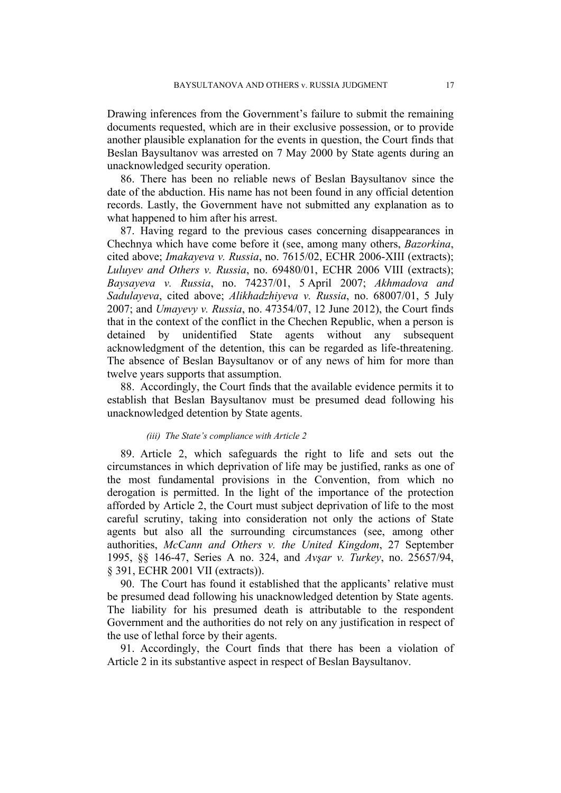Drawing inferences from the Government's failure to submit the remaining documents requested, which are in their exclusive possession, or to provide another plausible explanation for the events in question, the Court finds that Beslan Baysultanov was arrested on 7 May 2000 by State agents during an unacknowledged security operation.

86. There has been no reliable news of Beslan Baysultanov since the date of the abduction. His name has not been found in any official detention records. Lastly, the Government have not submitted any explanation as to what happened to him after his arrest.

87. Having regard to the previous cases concerning disappearances in Chechnya which have come before it (see, among many others, *Bazorkina*, cited above; *Imakayeva v. Russia*, no. 7615/02, ECHR 2006-XIII (extracts); *Luluyev and Others v. Russia*, no. 69480/01, ECHR 2006 VIII (extracts); *Baysayeva v. Russia*, no. 74237/01, 5 April 2007; *Akhmadova and Sadulayeva*, cited above; *Alikhadzhiyeva v. Russia*, no. 68007/01, 5 July 2007; and *Umayevy v. Russia*, no. 47354/07, 12 June 2012), the Court finds that in the context of the conflict in the Chechen Republic, when a person is detained by unidentified State agents without any subsequent acknowledgment of the detention, this can be regarded as life-threatening. The absence of Beslan Baysultanov or of any news of him for more than twelve years supports that assumption.

88. Accordingly, the Court finds that the available evidence permits it to establish that Beslan Baysultanov must be presumed dead following his unacknowledged detention by State agents.

#### *(iii) The State's compliance with Article 2*

89. Article 2, which safeguards the right to life and sets out the circumstances in which deprivation of life may be justified, ranks as one of the most fundamental provisions in the Convention, from which no derogation is permitted. In the light of the importance of the protection afforded by Article 2, the Court must subject deprivation of life to the most careful scrutiny, taking into consideration not only the actions of State agents but also all the surrounding circumstances (see, among other authorities, *McCann and Others v. the United Kingdom*, 27 September 1995, §§ 146-47, Series A no. 324, and *Avşar v. Turkey*, no. 25657/94, § 391, ECHR 2001 VII (extracts)).

90. The Court has found it established that the applicants' relative must be presumed dead following his unacknowledged detention by State agents. The liability for his presumed death is attributable to the respondent Government and the authorities do not rely on any justification in respect of the use of lethal force by their agents.

91. Accordingly, the Court finds that there has been a violation of Article 2 in its substantive aspect in respect of Beslan Baysultanov.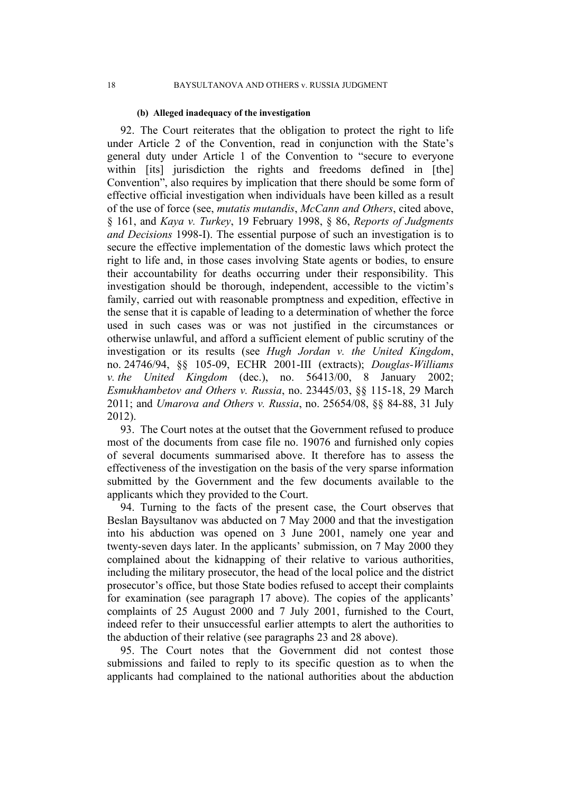#### **(b) Alleged inadequacy of the investigation**

92. The Court reiterates that the obligation to protect the right to life under Article 2 of the Convention, read in conjunction with the State's general duty under Article 1 of the Convention to "secure to everyone within [its] jurisdiction the rights and freedoms defined in [the] Convention", also requires by implication that there should be some form of effective official investigation when individuals have been killed as a result of the use of force (see, *mutatis mutandis*, *McCann and Others*, cited above, § 161, and *Kaya v. Turkey*, 19 February 1998, § 86, *Reports of Judgments and Decisions* 1998-I). The essential purpose of such an investigation is to secure the effective implementation of the domestic laws which protect the right to life and, in those cases involving State agents or bodies, to ensure their accountability for deaths occurring under their responsibility. This investigation should be thorough, independent, accessible to the victim's family, carried out with reasonable promptness and expedition, effective in the sense that it is capable of leading to a determination of whether the force used in such cases was or was not justified in the circumstances or otherwise unlawful, and afford a sufficient element of public scrutiny of the investigation or its results (see *Hugh Jordan v. the United Kingdom*, no. 24746/94, §§ 105-09, ECHR 2001-III (extracts); *Douglas-Williams v. the United Kingdom* (dec.), no. 56413/00, 8 January 2002; *Esmukhambetov and Others v. Russia*, no. 23445/03, §§ 115-18, 29 March 2011; and *Umarova and Others v. Russia*, no. 25654/08, §§ 84-88, 31 July 2012).

93. The Court notes at the outset that the Government refused to produce most of the documents from case file no. 19076 and furnished only copies of several documents summarised above. It therefore has to assess the effectiveness of the investigation on the basis of the very sparse information submitted by the Government and the few documents available to the applicants which they provided to the Court.

94. Turning to the facts of the present case, the Court observes that Beslan Baysultanov was abducted on 7 May 2000 and that the investigation into his abduction was opened on 3 June 2001, namely one year and twenty-seven days later. In the applicants' submission, on 7 May 2000 they complained about the kidnapping of their relative to various authorities, including the military prosecutor, the head of the local police and the district prosecutor's office, but those State bodies refused to accept their complaints for examination (see paragraph [17](#page-4-2) above). The copies of the applicants' complaints of 25 August 2000 and 7 July 2001, furnished to the Court, indeed refer to their unsuccessful earlier attempts to alert the authorities to the abduction of their relative (see paragraphs [23](#page-5-1) and [28](#page-6-1) above).

95. The Court notes that the Government did not contest those submissions and failed to reply to its specific question as to when the applicants had complained to the national authorities about the abduction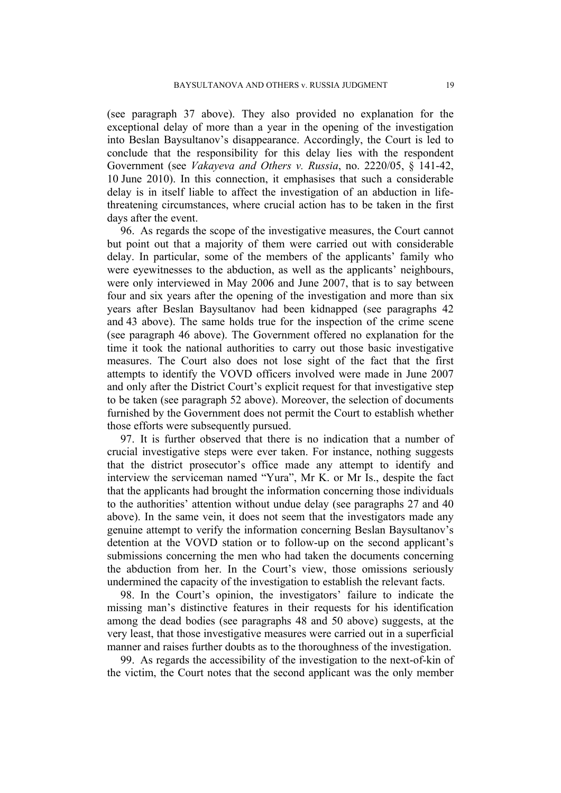(see paragraph [37](#page-7-0) above). They also provided no explanation for the exceptional delay of more than a year in the opening of the investigation into Beslan Baysultanov's disappearance. Accordingly, the Court is led to conclude that the responsibility for this delay lies with the respondent Government (see *Vakayeva and Others v. Russia*, no. 2220/05, § 141-42, 10 June 2010). In this connection, it emphasises that such a considerable delay is in itself liable to affect the investigation of an abduction in lifethreatening circumstances, where crucial action has to be taken in the first days after the event.

96. As regards the scope of the investigative measures, the Court cannot but point out that a majority of them were carried out with considerable delay. In particular, some of the members of the applicants' family who were eyewitnesses to the abduction, as well as the applicants' neighbours, were only interviewed in May 2006 and June 2007, that is to say between four and six years after the opening of the investigation and more than six years after Beslan Baysultanov had been kidnapped (see paragraphs [42](#page-9-2) and [43](#page-9-3) above). The same holds true for the inspection of the crime scene (see paragraph [46](#page-10-0) above). The Government offered no explanation for the time it took the national authorities to carry out those basic investigative measures. The Court also does not lose sight of the fact that the first attempts to identify the VOVD officers involved were made in June 2007 and only after the District Court's explicit request for that investigative step to be taken (see paragraph [52](#page-10-1) above). Moreover, the selection of documents furnished by the Government does not permit the Court to establish whether those efforts were subsequently pursued.

97. It is further observed that there is no indication that a number of crucial investigative steps were ever taken. For instance, nothing suggests that the district prosecutor's office made any attempt to identify and interview the serviceman named "Yura", Mr K. or Mr Is., despite the fact that the applicants had brought the information concerning those individuals to the authorities' attention without undue delay (see paragraphs [27](#page-6-0) and [40](#page-8-0) above). In the same vein, it does not seem that the investigators made any genuine attempt to verify the information concerning Beslan Baysultanov's detention at the VOVD station or to follow-up on the second applicant's submissions concerning the men who had taken the documents concerning the abduction from her. In the Court's view, those omissions seriously undermined the capacity of the investigation to establish the relevant facts.

98. In the Court's opinion, the investigators' failure to indicate the missing man's distinctive features in their requests for his identification among the dead bodies (see paragraphs [48](#page-10-2) and [50](#page-10-3) above) suggests, at the very least, that those investigative measures were carried out in a superficial manner and raises further doubts as to the thoroughness of the investigation.

99. As regards the accessibility of the investigation to the next-of-kin of the victim, the Court notes that the second applicant was the only member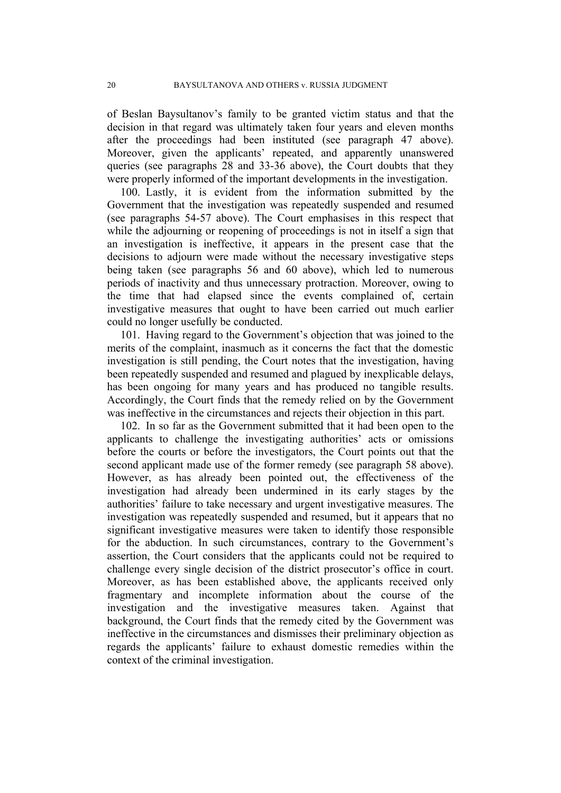of Beslan Baysultanov's family to be granted victim status and that the decision in that regard was ultimately taken four years and eleven months after the proceedings had been instituted (see paragraph 47 above). Moreover, given the applicants' repeated, and apparently unanswered queries (see paragraphs [28](#page-6-1) and [33-](#page-7-1)[36](#page-7-2) above), the Court doubts that they were properly informed of the important developments in the investigation.

100. Lastly, it is evident from the information submitted by the Government that the investigation was repeatedly suspended and resumed (see paragraphs [54](#page-10-4)[-57](#page-11-1) above). The Court emphasises in this respect that while the adjourning or reopening of proceedings is not in itself a sign that an investigation is ineffective, it appears in the present case that the decisions to adjourn were made without the necessary investigative steps being taken (see paragraphs [56](#page-11-2) and [60](#page-11-0) above), which led to numerous periods of inactivity and thus unnecessary protraction. Moreover, owing to the time that had elapsed since the events complained of, certain investigative measures that ought to have been carried out much earlier could no longer usefully be conducted.

101. Having regard to the Government's objection that was joined to the merits of the complaint, inasmuch as it concerns the fact that the domestic investigation is still pending, the Court notes that the investigation, having been repeatedly suspended and resumed and plagued by inexplicable delays, has been ongoing for many years and has produced no tangible results. Accordingly, the Court finds that the remedy relied on by the Government was ineffective in the circumstances and rejects their objection in this part.

102. In so far as the Government submitted that it had been open to the applicants to challenge the investigating authorities' acts or omissions before the courts or before the investigators, the Court points out that the second applicant made use of the former remedy (see paragraph [58](#page-11-3) above). However, as has already been pointed out, the effectiveness of the investigation had already been undermined in its early stages by the authorities' failure to take necessary and urgent investigative measures. The investigation was repeatedly suspended and resumed, but it appears that no significant investigative measures were taken to identify those responsible for the abduction. In such circumstances, contrary to the Government's assertion, the Court considers that the applicants could not be required to challenge every single decision of the district prosecutor's office in court. Moreover, as has been established above, the applicants received only fragmentary and incomplete information about the course of the investigation and the investigative measures taken. Against that background, the Court finds that the remedy cited by the Government was ineffective in the circumstances and dismisses their preliminary objection as regards the applicants' failure to exhaust domestic remedies within the context of the criminal investigation.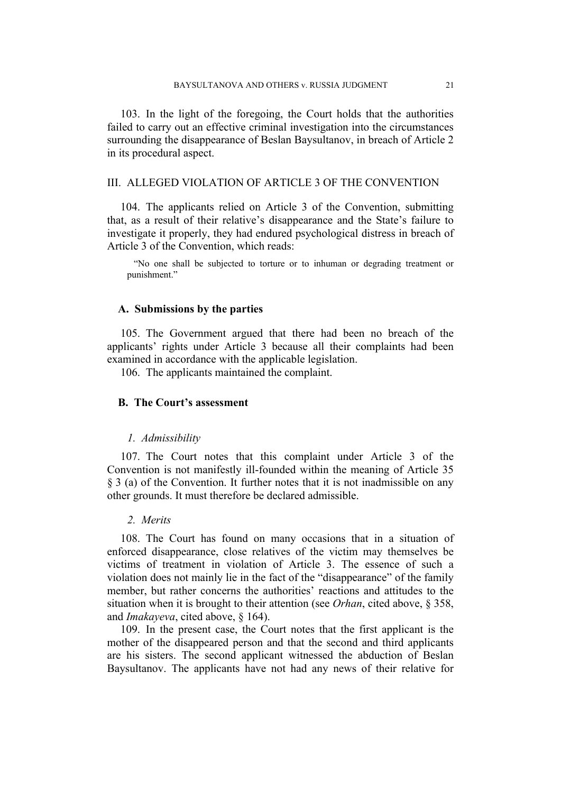103. In the light of the foregoing, the Court holds that the authorities failed to carry out an effective criminal investigation into the circumstances surrounding the disappearance of Beslan Baysultanov, in breach of Article 2 in its procedural aspect.

## III. ALLEGED VIOLATION OF ARTICLE 3 OF THE CONVENTION

104. The applicants relied on Article 3 of the Convention, submitting that, as a result of their relative's disappearance and the State's failure to investigate it properly, they had endured psychological distress in breach of Article 3 of the Convention, which reads:

"No one shall be subjected to torture or to inhuman or degrading treatment or punishment."

## **A. Submissions by the parties**

105. The Government argued that there had been no breach of the applicants' rights under Article 3 because all their complaints had been examined in accordance with the applicable legislation.

106. The applicants maintained the complaint.

## **B. The Court's assessment**

#### *1. Admissibility*

107. The Court notes that this complaint under Article 3 of the Convention is not manifestly ill-founded within the meaning of Article 35 § 3 (a) of the Convention. It further notes that it is not inadmissible on any other grounds. It must therefore be declared admissible.

#### *2. Merits*

108. The Court has found on many occasions that in a situation of enforced disappearance, close relatives of the victim may themselves be victims of treatment in violation of Article 3. The essence of such a violation does not mainly lie in the fact of the "disappearance" of the family member, but rather concerns the authorities' reactions and attitudes to the situation when it is brought to their attention (see *Orhan*, cited above, § 358, and *Imakayeva*, cited above, § 164).

109. In the present case, the Court notes that the first applicant is the mother of the disappeared person and that the second and third applicants are his sisters. The second applicant witnessed the abduction of Beslan Baysultanov. The applicants have not had any news of their relative for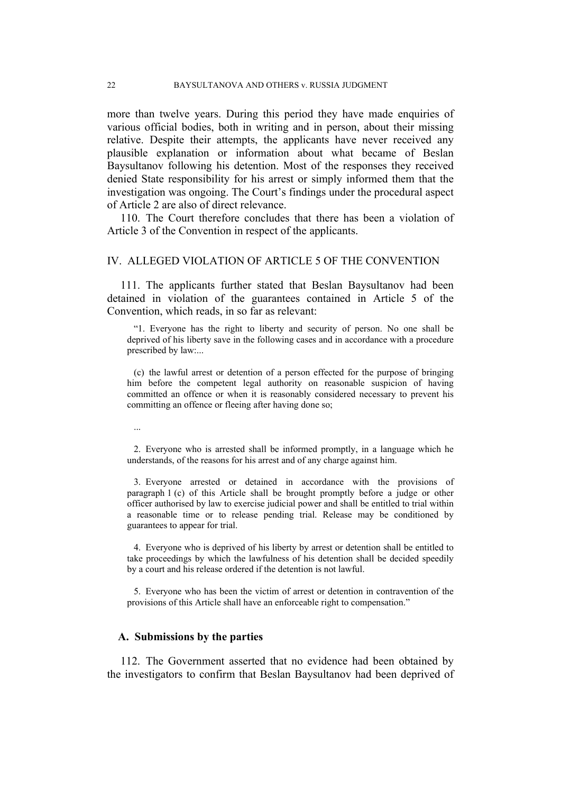more than twelve years. During this period they have made enquiries of various official bodies, both in writing and in person, about their missing relative. Despite their attempts, the applicants have never received any plausible explanation or information about what became of Beslan Baysultanov following his detention. Most of the responses they received denied State responsibility for his arrest or simply informed them that the investigation was ongoing. The Court's findings under the procedural aspect of Article 2 are also of direct relevance.

110. The Court therefore concludes that there has been a violation of Article 3 of the Convention in respect of the applicants.

### IV. ALLEGED VIOLATION OF ARTICLE 5 OF THE CONVENTION

111. The applicants further stated that Beslan Baysultanov had been detained in violation of the guarantees contained in Article 5 of the Convention, which reads, in so far as relevant:

"1. Everyone has the right to liberty and security of person. No one shall be deprived of his liberty save in the following cases and in accordance with a procedure prescribed by law:...

(c) the lawful arrest or detention of a person effected for the purpose of bringing him before the competent legal authority on reasonable suspicion of having committed an offence or when it is reasonably considered necessary to prevent his committing an offence or fleeing after having done so;

...

2. Everyone who is arrested shall be informed promptly, in a language which he understands, of the reasons for his arrest and of any charge against him.

3. Everyone arrested or detained in accordance with the provisions of paragraph 1 (c) of this Article shall be brought promptly before a judge or other officer authorised by law to exercise judicial power and shall be entitled to trial within a reasonable time or to release pending trial. Release may be conditioned by guarantees to appear for trial.

4. Everyone who is deprived of his liberty by arrest or detention shall be entitled to take proceedings by which the lawfulness of his detention shall be decided speedily by a court and his release ordered if the detention is not lawful.

5. Everyone who has been the victim of arrest or detention in contravention of the provisions of this Article shall have an enforceable right to compensation."

#### **A. Submissions by the parties**

112. The Government asserted that no evidence had been obtained by the investigators to confirm that Beslan Baysultanov had been deprived of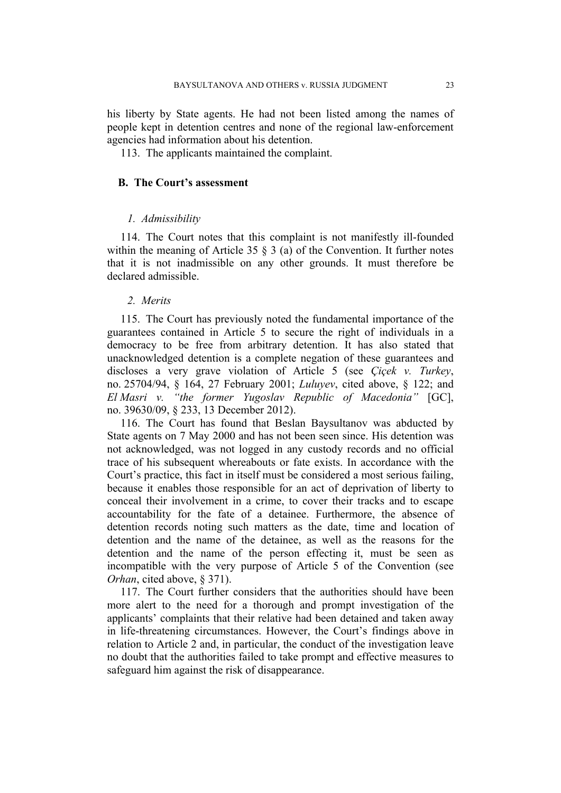his liberty by State agents. He had not been listed among the names of people kept in detention centres and none of the regional law-enforcement agencies had information about his detention.

113. The applicants maintained the complaint.

## **B. The Court's assessment**

#### *1. Admissibility*

114. The Court notes that this complaint is not manifestly ill-founded within the meaning of Article 35 § 3 (a) of the Convention. It further notes that it is not inadmissible on any other grounds. It must therefore be declared admissible.

#### *2. Merits*

115. The Court has previously noted the fundamental importance of the guarantees contained in Article 5 to secure the right of individuals in a democracy to be free from arbitrary detention. It has also stated that unacknowledged detention is a complete negation of these guarantees and discloses a very grave violation of Article 5 (see *Çiçek v. Turkey*, no. 25704/94, § 164, 27 February 2001; *Luluyev*, cited above, § 122; and *El Masri v. "the former Yugoslav Republic of Macedonia"* [GC], no. 39630/09, § 233, 13 December 2012).

116. The Court has found that Beslan Baysultanov was abducted by State agents on 7 May 2000 and has not been seen since. His detention was not acknowledged, was not logged in any custody records and no official trace of his subsequent whereabouts or fate exists. In accordance with the Court's practice, this fact in itself must be considered a most serious failing, because it enables those responsible for an act of deprivation of liberty to conceal their involvement in a crime, to cover their tracks and to escape accountability for the fate of a detainee. Furthermore, the absence of detention records noting such matters as the date, time and location of detention and the name of the detainee, as well as the reasons for the detention and the name of the person effecting it, must be seen as incompatible with the very purpose of Article 5 of the Convention (see *Orhan*, cited above, § 371).

117. The Court further considers that the authorities should have been more alert to the need for a thorough and prompt investigation of the applicants' complaints that their relative had been detained and taken away in life-threatening circumstances. However, the Court's findings above in relation to Article 2 and, in particular, the conduct of the investigation leave no doubt that the authorities failed to take prompt and effective measures to safeguard him against the risk of disappearance.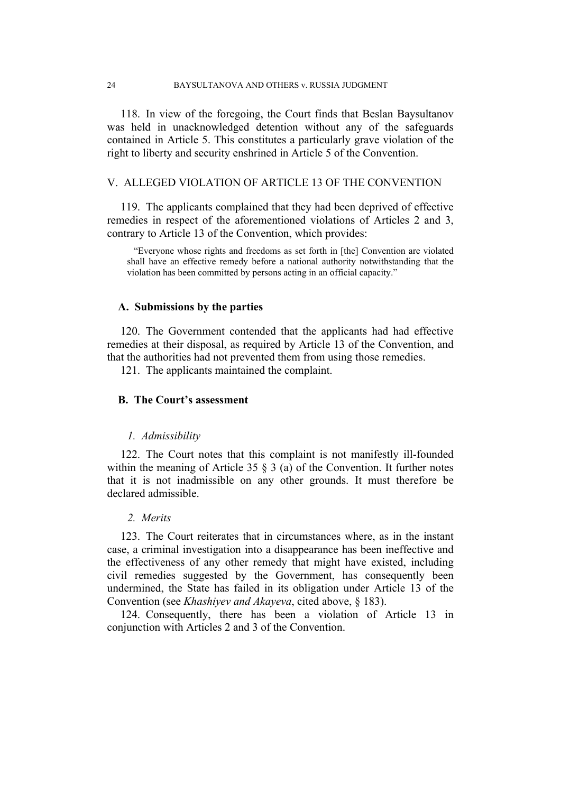118. In view of the foregoing, the Court finds that Beslan Baysultanov was held in unacknowledged detention without any of the safeguards contained in Article 5. This constitutes a particularly grave violation of the right to liberty and security enshrined in Article 5 of the Convention.

## V. ALLEGED VIOLATION OF ARTICLE 13 OF THE CONVENTION

119. The applicants complained that they had been deprived of effective remedies in respect of the aforementioned violations of Articles 2 and 3, contrary to Article 13 of the Convention, which provides:

"Everyone whose rights and freedoms as set forth in [the] Convention are violated shall have an effective remedy before a national authority notwithstanding that the violation has been committed by persons acting in an official capacity."

## **A. Submissions by the parties**

120. The Government contended that the applicants had had effective remedies at their disposal, as required by Article 13 of the Convention, and that the authorities had not prevented them from using those remedies.

121. The applicants maintained the complaint.

## **B. The Court's assessment**

#### *1. Admissibility*

122. The Court notes that this complaint is not manifestly ill-founded within the meaning of Article 35 § 3 (a) of the Convention. It further notes that it is not inadmissible on any other grounds. It must therefore be declared admissible.

### *2. Merits*

123. The Court reiterates that in circumstances where, as in the instant case, a criminal investigation into a disappearance has been ineffective and the effectiveness of any other remedy that might have existed, including civil remedies suggested by the Government, has consequently been undermined, the State has failed in its obligation under Article 13 of the Convention (see *Khashiyev and Akayeva*, cited above, § 183).

124. Consequently, there has been a violation of Article 13 in conjunction with Articles 2 and 3 of the Convention.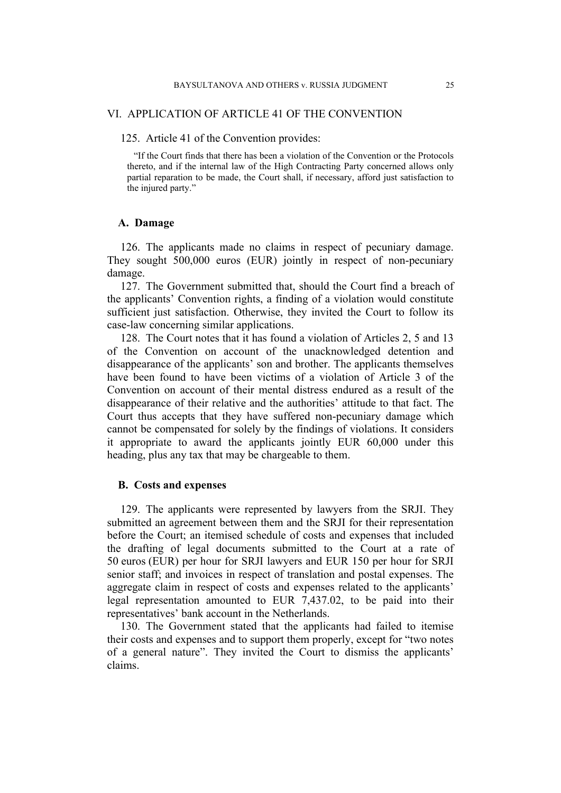#### VI. APPLICATION OF ARTICLE 41 OF THE CONVENTION

#### 125. Article 41 of the Convention provides:

"If the Court finds that there has been a violation of the Convention or the Protocols thereto, and if the internal law of the High Contracting Party concerned allows only partial reparation to be made, the Court shall, if necessary, afford just satisfaction to the injured party."

## **A. Damage**

126. The applicants made no claims in respect of pecuniary damage. They sought 500,000 euros (EUR) jointly in respect of non-pecuniary damage.

127. The Government submitted that, should the Court find a breach of the applicants' Convention rights, a finding of a violation would constitute sufficient just satisfaction. Otherwise, they invited the Court to follow its case-law concerning similar applications.

128. The Court notes that it has found a violation of Articles 2, 5 and 13 of the Convention on account of the unacknowledged detention and disappearance of the applicants' son and brother. The applicants themselves have been found to have been victims of a violation of Article 3 of the Convention on account of their mental distress endured as a result of the disappearance of their relative and the authorities' attitude to that fact. The Court thus accepts that they have suffered non-pecuniary damage which cannot be compensated for solely by the findings of violations. It considers it appropriate to award the applicants jointly EUR 60,000 under this heading, plus any tax that may be chargeable to them.

#### **B. Costs and expenses**

129. The applicants were represented by lawyers from the SRJI. They submitted an agreement between them and the SRJI for their representation before the Court; an itemised schedule of costs and expenses that included the drafting of legal documents submitted to the Court at a rate of 50 euros (EUR) per hour for SRJI lawyers and EUR 150 per hour for SRJI senior staff; and invoices in respect of translation and postal expenses. The aggregate claim in respect of costs and expenses related to the applicants' legal representation amounted to EUR 7,437.02, to be paid into their representatives' bank account in the Netherlands.

130. The Government stated that the applicants had failed to itemise their costs and expenses and to support them properly, except for "two notes of a general nature". They invited the Court to dismiss the applicants' claims.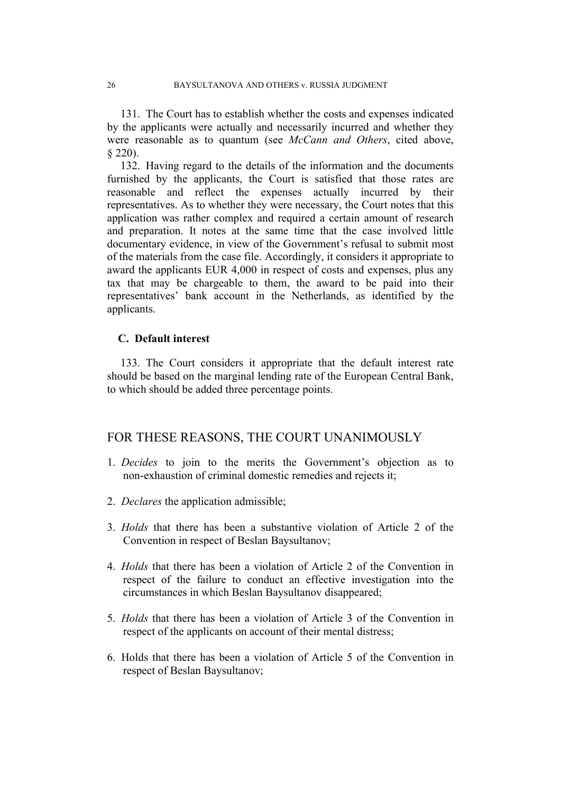131. The Court has to establish whether the costs and expenses indicated by the applicants were actually and necessarily incurred and whether they were reasonable as to quantum (see *McCann and Others*, cited above, § 220).

132. Having regard to the details of the information and the documents furnished by the applicants, the Court is satisfied that those rates are reasonable and reflect the expenses actually incurred by their representatives. As to whether they were necessary, the Court notes that this application was rather complex and required a certain amount of research and preparation. It notes at the same time that the case involved little documentary evidence, in view of the Government's refusal to submit most of the materials from the case file. Accordingly, it considers it appropriate to award the applicants EUR 4,000 in respect of costs and expenses, plus any tax that may be chargeable to them, the award to be paid into their representatives' bank account in the Netherlands, as identified by the applicants.

## **C. Default interest**

133. The Court considers it appropriate that the default interest rate should be based on the marginal lending rate of the European Central Bank, to which should be added three percentage points.

## FOR THESE REASONS, THE COURT UNANIMOUSLY

- 1. *Decides* to join to the merits the Government's objection as to non-exhaustion of criminal domestic remedies and rejects it;
- 2. *Declares* the application admissible;
- 3. *Holds* that there has been a substantive violation of Article 2 of the Convention in respect of Beslan Baysultanov;
- 4. *Holds* that there has been a violation of Article 2 of the Convention in respect of the failure to conduct an effective investigation into the circumstances in which Beslan Baysultanov disappeared;
- 5. *Holds* that there has been a violation of Article 3 of the Convention in respect of the applicants on account of their mental distress;
- 6. Holds that there has been a violation of Article 5 of the Convention in respect of Beslan Baysultanov;